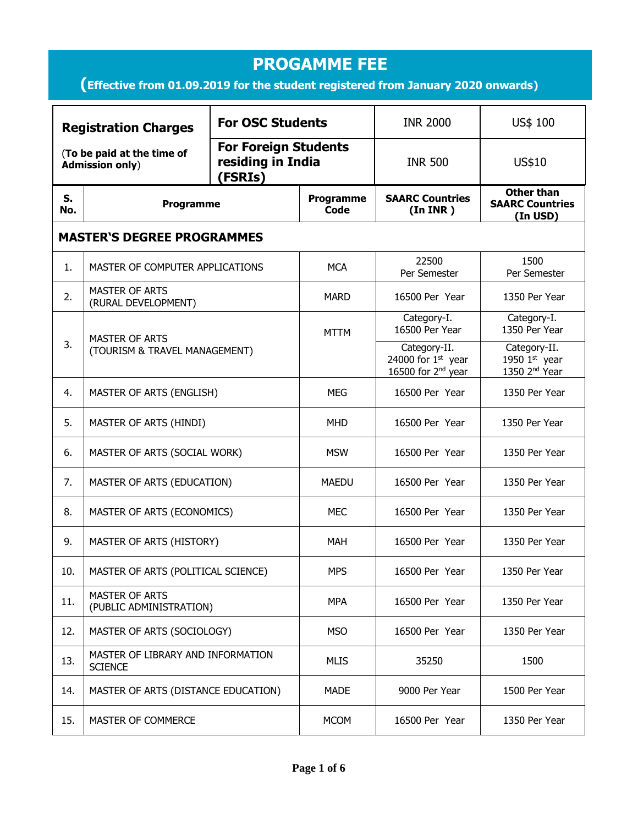## **PROGAMME FEE (Effective from 01.09.2019 for the student registered from January 2020 onwards) S. No. Programme Programme Code SAARC Countries (In INR ) Other than SAARC Countries (In USD) MASTER'S DEGREE PROGRAMMES** 1. MASTER OF COMPUTER APPLICATIONS MCA 22500 Per Semester 1500 Per Semester 2. MASTER OF ARTS PERSTER OF ARTS<br>(RURAL DEVELOPMENT) MARD 16500 Per Year 1350 Per Year  $3.$  MASTER OF ARTS (TOURISM & TRAVEL MANAGEMENT) MTTM Category-I. 16500 Per Year Category-I. 1350 Per Year Category-II. 24000 for  $1<sup>st</sup>$  year 16500 for  $2<sup>nd</sup>$  year Category-II. 1950  $1<sup>st</sup>$  year 1350  $2<sup>nd</sup>$  Year 4. MASTER OF ARTS (ENGLISH) MEG 16500 Per Year 1350 Per Year 5. MASTER OF ARTS (HINDI) MHD 16500 Per Year 1350 Per Year 6. | MASTER OF ARTS (SOCIAL WORK) | MSW | 16500 Per Year | 1350 Per Year 7. | MASTER OF ARTS (EDUCATION) | MAEDU | 16500 Per Year | 1350 Per Year 8. | MASTER OF ARTS (ECONOMICS) MEC | 16500 Per Year | 1350 Per Year 9. | MASTER OF ARTS (HISTORY) MAH | 16500 Per Year | 1350 Per Year 10. | MASTER OF ARTS (POLITICAL SCIENCE) | MPS | 16500 Per Year | 1350 Per Year  $11.$  MASTER OF ARTS MASTER OF ARTS<br>(PUBLIC ADMINISTRATION) MPA 16500 Per Year 250 Per Year 12. | MASTER OF ARTS (SOCIOLOGY) | MSO | 16500 Per Year | 1350 Per Year 13. MASTER OF LIBRARY AND INFORMATION<br>SCIENCE SCIENCE SCIENCE MUSIC MUSIC MUSIC MUSIC MUSIC  $\begin{bmatrix} 1 & 35250 \\ -35250 \end{bmatrix}$  1500 14. | MASTER OF ARTS (DISTANCE EDUCATION) | MADE | 9000 Per Year | 1500 Per Year 15. MASTER OF COMMERCE MASS COMMER AND MCOM 16500 Per Year 1350 Per Year **Registration Charges** (**To be paid at the time of Admission only**) **For OSC Students INR 2000 US\$ 100 For Foreign Students residing in India (FSRIs)**  INR 500 US\$10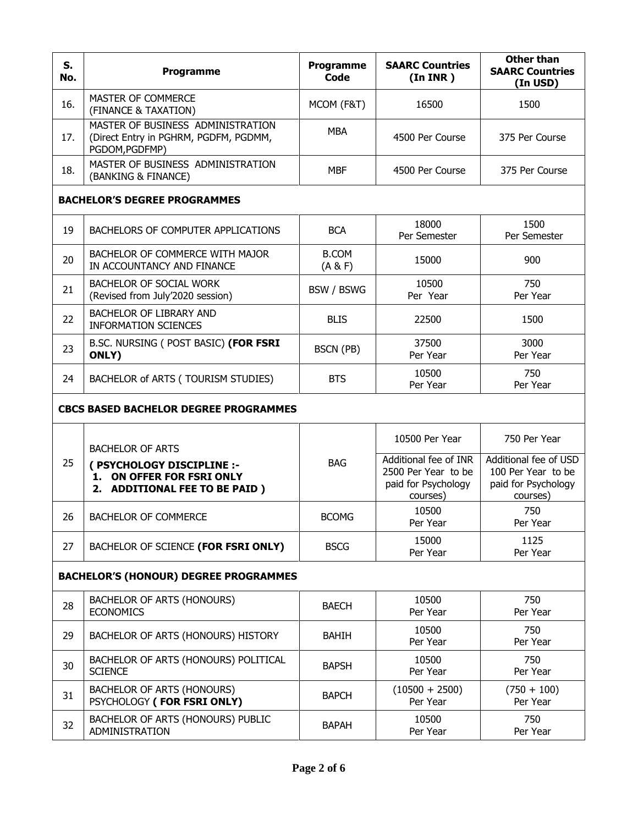| S.<br>No.                                    | Programme                                                                                    | <b>Programme</b><br><b>Code</b> | <b>SAARC Countries</b><br>(In <b>INR</b> )                                      | <b>Other than</b><br><b>SAARC Countries</b><br>(In USD)                        |  |  |
|----------------------------------------------|----------------------------------------------------------------------------------------------|---------------------------------|---------------------------------------------------------------------------------|--------------------------------------------------------------------------------|--|--|
| 16.                                          | MASTER OF COMMERCE<br>(FINANCE & TAXATION)                                                   | MCOM (F&T)                      | 16500                                                                           | 1500                                                                           |  |  |
| 17.                                          | MASTER OF BUSINESS ADMINISTRATION<br>(Direct Entry in PGHRM, PGDFM, PGDMM,<br>PGDOM, PGDFMP) | <b>MBA</b>                      | 4500 Per Course                                                                 | 375 Per Course                                                                 |  |  |
| 18.                                          | MASTER OF BUSINESS ADMINISTRATION<br>(BANKING & FINANCE)                                     | <b>MBF</b>                      | 4500 Per Course                                                                 | 375 Per Course                                                                 |  |  |
|                                              | <b>BACHELOR'S DEGREE PROGRAMMES</b>                                                          |                                 |                                                                                 |                                                                                |  |  |
| 19                                           | BACHELORS OF COMPUTER APPLICATIONS                                                           | <b>BCA</b>                      | 18000<br>Per Semester                                                           | 1500<br>Per Semester                                                           |  |  |
| 20                                           | BACHELOR OF COMMERCE WITH MAJOR<br>IN ACCOUNTANCY AND FINANCE                                | <b>B.COM</b><br>(A & F)         | 15000                                                                           | 900                                                                            |  |  |
| 21                                           | <b>BACHELOR OF SOCIAL WORK</b><br>(Revised from July'2020 session)                           | BSW / BSWG                      | 10500<br>Per Year                                                               | 750<br>Per Year                                                                |  |  |
| 22                                           | BACHELOR OF LIBRARY AND<br><b>INFORMATION SCIENCES</b>                                       | <b>BLIS</b>                     | 22500                                                                           | 1500                                                                           |  |  |
| 23                                           | B.SC. NURSING ( POST BASIC) (FOR FSRI<br>ONLY)                                               | BSCN (PB)                       | 37500<br>Per Year                                                               | 3000<br>Per Year                                                               |  |  |
| 24                                           | BACHELOR of ARTS (TOURISM STUDIES)                                                           | <b>BTS</b>                      | 10500<br>Per Year                                                               | 750<br>Per Year                                                                |  |  |
| <b>CBCS BASED BACHELOR DEGREE PROGRAMMES</b> |                                                                                              |                                 |                                                                                 |                                                                                |  |  |
|                                              | <b>BACHELOR OF ARTS</b>                                                                      |                                 | 10500 Per Year                                                                  | 750 Per Year                                                                   |  |  |
| 25                                           | ( PSYCHOLOGY DISCIPLINE :-<br>1. ON OFFER FOR FSRI ONLY<br>2. ADDITIONAL FEE TO BE PAID)     | <b>BAG</b>                      | Additional fee of INR<br>2500 Per Year to be<br>paid for Psychology<br>courses) | Additional fee of USD<br>100 Per Year to be<br>paid for Psychology<br>courses) |  |  |
| 26                                           | <b>BACHELOR OF COMMERCE</b>                                                                  | <b>BCOMG</b>                    | 10500<br>Per Year                                                               | 750<br>Per Year                                                                |  |  |
| 27                                           | BACHELOR OF SCIENCE (FOR FSRI ONLY)                                                          | <b>BSCG</b>                     | 15000<br>Per Year                                                               | 1125<br>Per Year                                                               |  |  |
|                                              | <b>BACHELOR'S (HONOUR) DEGREE PROGRAMMES</b>                                                 |                                 |                                                                                 |                                                                                |  |  |
| 28                                           | BACHELOR OF ARTS (HONOURS)<br><b>ECONOMICS</b>                                               | <b>BAECH</b>                    | 10500<br>Per Year                                                               | 750<br>Per Year                                                                |  |  |
| 29                                           | BACHELOR OF ARTS (HONOURS) HISTORY                                                           | <b>BAHIH</b>                    | 10500<br>Per Year                                                               | 750<br>Per Year                                                                |  |  |
| 30                                           | BACHELOR OF ARTS (HONOURS) POLITICAL<br><b>SCIENCE</b>                                       | <b>BAPSH</b>                    | 10500<br>Per Year                                                               | 750<br>Per Year                                                                |  |  |
| 31                                           | BACHELOR OF ARTS (HONOURS)<br>PSYCHOLOGY (FOR FSRI ONLY)                                     | <b>BAPCH</b>                    | $(10500 + 2500)$<br>Per Year                                                    | $(750 + 100)$<br>Per Year                                                      |  |  |
| 32                                           | BACHELOR OF ARTS (HONOURS) PUBLIC<br>ADMINISTRATION                                          | <b>BAPAH</b>                    | 10500<br>Per Year                                                               | 750<br>Per Year                                                                |  |  |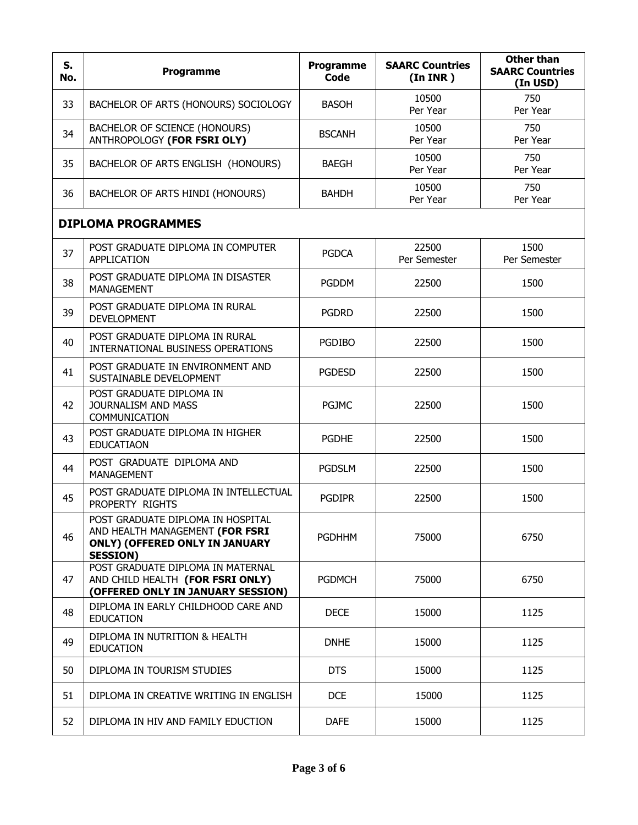| S.<br>No. | Programme                                                                                                                        | Programme<br><b>Code</b> | <b>SAARC Countries</b><br>(In INR) | <b>Other than</b><br><b>SAARC Countries</b><br>(In USD) |
|-----------|----------------------------------------------------------------------------------------------------------------------------------|--------------------------|------------------------------------|---------------------------------------------------------|
| 33        | BACHELOR OF ARTS (HONOURS) SOCIOLOGY                                                                                             | <b>BASOH</b>             | 10500<br>Per Year                  | 750<br>Per Year                                         |
| 34        | BACHELOR OF SCIENCE (HONOURS)<br>ANTHROPOLOGY (FOR FSRI OLY)                                                                     | <b>BSCANH</b>            | 10500<br>Per Year                  | 750<br>Per Year                                         |
| 35        | BACHELOR OF ARTS ENGLISH (HONOURS)                                                                                               | <b>BAEGH</b>             | 10500<br>Per Year                  | 750<br>Per Year                                         |
| 36        | BACHELOR OF ARTS HINDI (HONOURS)                                                                                                 | <b>BAHDH</b>             | 10500<br>Per Year                  | 750<br>Per Year                                         |
|           | <b>DIPLOMA PROGRAMMES</b>                                                                                                        |                          |                                    |                                                         |
| 37        | POST GRADUATE DIPLOMA IN COMPUTER<br>APPLICATION                                                                                 | <b>PGDCA</b>             | 22500<br>Per Semester              | 1500<br>Per Semester                                    |
| 38        | POST GRADUATE DIPLOMA IN DISASTER<br><b>MANAGEMENT</b>                                                                           | <b>PGDDM</b>             | 22500                              | 1500                                                    |
| 39        | POST GRADUATE DIPLOMA IN RURAL<br><b>DEVELOPMENT</b>                                                                             | <b>PGDRD</b>             | 22500                              | 1500                                                    |
| 40        | POST GRADUATE DIPLOMA IN RURAL<br>INTERNATIONAL BUSINESS OPERATIONS                                                              | <b>PGDIBO</b>            | 22500                              | 1500                                                    |
| 41        | POST GRADUATE IN ENVIRONMENT AND<br>SUSTAINABLE DEVELOPMENT                                                                      | <b>PGDESD</b>            | 22500                              | 1500                                                    |
| 42        | POST GRADUATE DIPLOMA IN<br>JOURNALISM AND MASS<br>COMMUNICATION                                                                 | <b>PGJMC</b>             | 22500                              | 1500                                                    |
| 43        | POST GRADUATE DIPLOMA IN HIGHER<br><b>EDUCATIAON</b>                                                                             | <b>PGDHE</b>             | 22500                              | 1500                                                    |
| 44        | POST GRADUATE DIPLOMA AND<br><b>MANAGEMENT</b>                                                                                   | <b>PGDSLM</b>            | 22500                              | 1500                                                    |
| 45        | POST GRADUATE DIPLOMA IN INTELLECTUAL<br>PROPERTY RIGHTS                                                                         | <b>PGDIPR</b>            | 22500                              | 1500                                                    |
| 46        | POST GRADUATE DIPLOMA IN HOSPITAL<br>AND HEALTH MANAGEMENT (FOR FSRI<br><b>ONLY) (OFFERED ONLY IN JANUARY</b><br><b>SESSION)</b> | <b>PGDHHM</b>            | 75000                              | 6750                                                    |
| 47        | POST GRADUATE DIPLOMA IN MATERNAL<br>AND CHILD HEALTH (FOR FSRI ONLY)<br>(OFFERED ONLY IN JANUARY SESSION)                       | <b>PGDMCH</b>            | 75000                              | 6750                                                    |
| 48        | DIPLOMA IN EARLY CHILDHOOD CARE AND<br><b>EDUCATION</b>                                                                          | <b>DECE</b>              | 15000                              | 1125                                                    |
| 49        | DIPLOMA IN NUTRITION & HEALTH<br><b>EDUCATION</b>                                                                                | <b>DNHE</b>              | 15000                              | 1125                                                    |
| 50        | DIPLOMA IN TOURISM STUDIES                                                                                                       | <b>DTS</b>               | 15000                              | 1125                                                    |
| 51        | DIPLOMA IN CREATIVE WRITING IN ENGLISH                                                                                           | <b>DCE</b>               | 15000                              | 1125                                                    |
| 52        | DIPLOMA IN HIV AND FAMILY EDUCTION                                                                                               | <b>DAFE</b>              | 15000                              | 1125                                                    |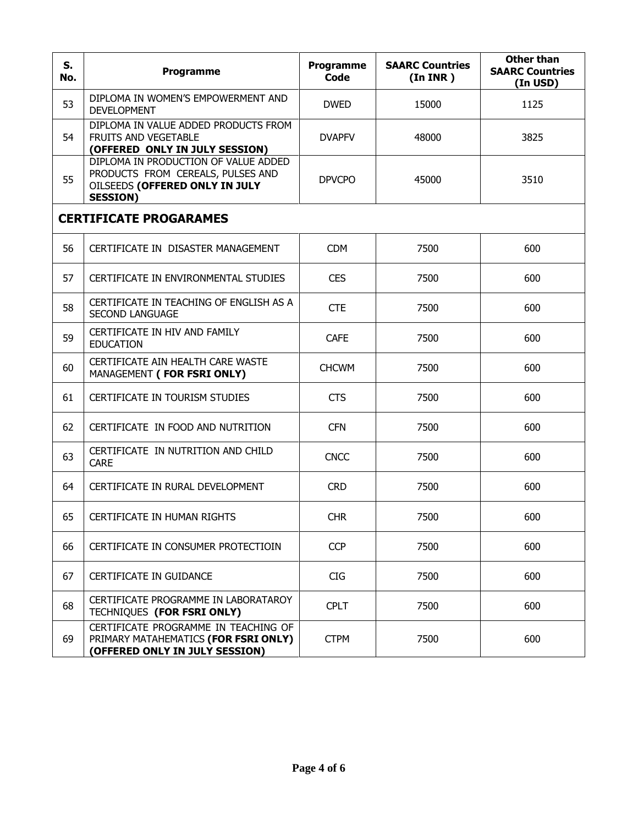| S.<br>No.                     | Programme                                                                                                                      | <b>Programme</b><br>Code | <b>SAARC Countries</b><br>(In <b>INR</b> ) | <b>Other than</b><br><b>SAARC Countries</b><br>(In USD) |  |
|-------------------------------|--------------------------------------------------------------------------------------------------------------------------------|--------------------------|--------------------------------------------|---------------------------------------------------------|--|
| 53                            | DIPLOMA IN WOMEN'S EMPOWERMENT AND<br><b>DEVELOPMENT</b>                                                                       | <b>DWED</b>              | 15000                                      | 1125                                                    |  |
| 54                            | DIPLOMA IN VALUE ADDED PRODUCTS FROM<br><b>FRUITS AND VEGETABLE</b><br>(OFFERED ONLY IN JULY SESSION)                          | <b>DVAPFV</b>            | 48000                                      | 3825                                                    |  |
| 55                            | DIPLOMA IN PRODUCTION OF VALUE ADDED<br>PRODUCTS FROM CEREALS, PULSES AND<br>OILSEEDS (OFFERED ONLY IN JULY<br><b>SESSION)</b> | <b>DPVCPO</b>            | 45000                                      | 3510                                                    |  |
| <b>CERTIFICATE PROGARAMES</b> |                                                                                                                                |                          |                                            |                                                         |  |
| 56                            | CERTIFICATE IN DISASTER MANAGEMENT                                                                                             | <b>CDM</b>               | 7500                                       | 600                                                     |  |
| 57                            | CERTIFICATE IN ENVIRONMENTAL STUDIES                                                                                           | <b>CES</b>               | 7500                                       | 600                                                     |  |
| 58                            | CERTIFICATE IN TEACHING OF ENGLISH AS A<br><b>SECOND LANGUAGE</b>                                                              | <b>CTE</b>               | 7500                                       | 600                                                     |  |
| 59                            | CERTIFICATE IN HIV AND FAMILY<br><b>EDUCATION</b>                                                                              | <b>CAFE</b>              | 7500                                       | 600                                                     |  |
| 60                            | CERTIFICATE AIN HEALTH CARE WASTE<br>MANAGEMENT (FOR FSRI ONLY)                                                                | <b>CHCWM</b>             | 7500                                       | 600                                                     |  |
| 61                            | CERTIFICATE IN TOURISM STUDIES                                                                                                 | <b>CTS</b>               | 7500                                       | 600                                                     |  |
| 62                            | CERTIFICATE IN FOOD AND NUTRITION                                                                                              | <b>CFN</b>               | 7500                                       | 600                                                     |  |
| 63                            | CERTIFICATE IN NUTRITION AND CHILD<br><b>CARE</b>                                                                              | <b>CNCC</b>              | 7500                                       | 600                                                     |  |
| 64                            | CERTIFICATE IN RURAL DEVELOPMENT                                                                                               | <b>CRD</b>               | 7500                                       | 600                                                     |  |
| 65                            | CERTIFICATE IN HUMAN RIGHTS                                                                                                    | <b>CHR</b>               | 7500                                       | 600                                                     |  |
| 66                            | CERTIFICATE IN CONSUMER PROTECTIOIN                                                                                            | <b>CCP</b>               | 7500                                       | 600                                                     |  |
| 67                            | CERTIFICATE IN GUIDANCE                                                                                                        | <b>CIG</b>               | 7500                                       | 600                                                     |  |
| 68                            | CERTIFICATE PROGRAMME IN LABORATAROY<br>TECHNIQUES (FOR FSRI ONLY)                                                             | <b>CPLT</b>              | 7500                                       | 600                                                     |  |
| 69                            | CERTIFICATE PROGRAMME IN TEACHING OF<br>PRIMARY MATAHEMATICS (FOR FSRI ONLY)<br>(OFFERED ONLY IN JULY SESSION)                 | <b>CTPM</b>              | 7500                                       | 600                                                     |  |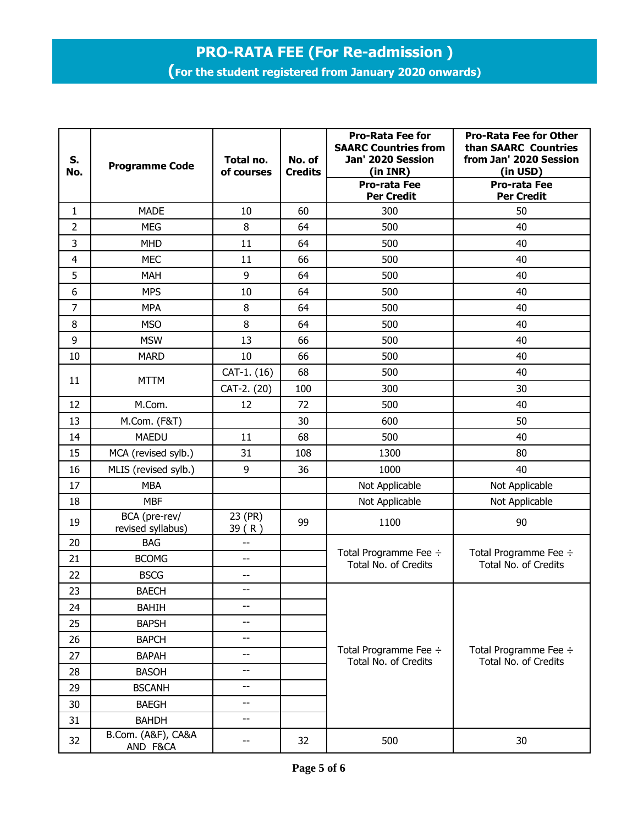## **PRO-RATA FEE (For Re-admission )**

**(For the student registered from January 2020 onwards)**

| S.<br>No.    | <b>Programme Code</b>              | Total no.<br>of courses | No. of<br><b>Credits</b> | <b>Pro-Rata Fee for</b><br><b>SAARC Countries from</b><br>Jan' 2020 Session<br>(in INR) | <b>Pro-Rata Fee for Other</b><br>than SAARC Countries<br>from Jan' 2020 Session<br>(in USD) |  |
|--------------|------------------------------------|-------------------------|--------------------------|-----------------------------------------------------------------------------------------|---------------------------------------------------------------------------------------------|--|
|              |                                    |                         |                          | <b>Pro-rata Fee</b><br><b>Per Credit</b>                                                | <b>Pro-rata Fee</b><br><b>Per Credit</b>                                                    |  |
| $\mathbf{1}$ | <b>MADE</b>                        | 10                      | 60                       | 300                                                                                     | 50                                                                                          |  |
| 2            | <b>MEG</b>                         | 8                       | 64                       | 500                                                                                     | 40                                                                                          |  |
| 3            | <b>MHD</b>                         | 11                      | 64                       | 500                                                                                     | 40                                                                                          |  |
| 4            | <b>MEC</b>                         | 11                      | 66                       | 500                                                                                     | 40                                                                                          |  |
| 5            | <b>MAH</b>                         | 9                       | 64                       | 500                                                                                     | 40                                                                                          |  |
| 6            | <b>MPS</b>                         | 10                      | 64                       | 500                                                                                     | 40                                                                                          |  |
| 7            | <b>MPA</b>                         | 8                       | 64                       | 500                                                                                     | 40                                                                                          |  |
| 8            | <b>MSO</b>                         | 8                       | 64                       | 500                                                                                     | 40                                                                                          |  |
| 9            | <b>MSW</b>                         | 13                      | 66                       | 500                                                                                     | 40                                                                                          |  |
| 10           | <b>MARD</b>                        | 10                      | 66                       | 500                                                                                     | 40                                                                                          |  |
| 11           | <b>MTTM</b>                        | CAT-1. (16)             | 68                       | 500                                                                                     | 40                                                                                          |  |
|              |                                    | CAT-2. (20)             | 100                      | 300                                                                                     | 30                                                                                          |  |
| 12           | M.Com.                             | 12                      | 72                       | 500                                                                                     | 40                                                                                          |  |
| 13           | M.Com. (F&T)                       |                         | 30                       | 600                                                                                     | 50                                                                                          |  |
| 14           | <b>MAEDU</b>                       | 11                      | 68                       | 500                                                                                     | 40                                                                                          |  |
| 15           | MCA (revised sylb.)                | 31                      | 108                      | 1300                                                                                    | 80                                                                                          |  |
| 16           | MLIS (revised sylb.)               | 9                       | 36                       | 1000                                                                                    | 40                                                                                          |  |
| 17           | <b>MBA</b>                         |                         |                          | Not Applicable                                                                          | Not Applicable                                                                              |  |
| 18           | <b>MBF</b>                         |                         |                          | Not Applicable                                                                          | Not Applicable                                                                              |  |
| 19           | BCA (pre-rev/<br>revised syllabus) | 23 (PR)<br>39(R)        | 99                       | 1100                                                                                    | 90                                                                                          |  |
| 20           | <b>BAG</b>                         | --                      |                          |                                                                                         |                                                                                             |  |
| 21           | <b>BCOMG</b>                       | $-$                     |                          | Total Programme Fee ÷<br>Total No. of Credits                                           | Total Programme Fee ÷<br>Total No. of Credits                                               |  |
| 22           | <b>BSCG</b>                        | $-$                     |                          |                                                                                         |                                                                                             |  |
| 23           | <b>BAECH</b>                       | --                      |                          |                                                                                         | Total Programme Fee ÷<br><b>Total No. of Credits</b>                                        |  |
| 24           | <b>BAHIH</b>                       | $-$                     |                          |                                                                                         |                                                                                             |  |
| 25           | <b>BAPSH</b>                       | $-$                     |                          | Total Programme Fee ÷<br>Total No. of Credits                                           |                                                                                             |  |
| 26           | <b>BAPCH</b>                       | $-$                     |                          |                                                                                         |                                                                                             |  |
| 27           | <b>BAPAH</b>                       | --                      |                          |                                                                                         |                                                                                             |  |
| 28           | <b>BASOH</b>                       | --                      |                          |                                                                                         |                                                                                             |  |
| 29           | <b>BSCANH</b>                      | --                      |                          |                                                                                         |                                                                                             |  |
| 30           | <b>BAEGH</b>                       | --                      |                          |                                                                                         |                                                                                             |  |
| 31           | <b>BAHDH</b>                       | --                      |                          |                                                                                         |                                                                                             |  |
| 32           | B.Com. (A&F), CA&A<br>AND F&CA     |                         | 32                       | 500                                                                                     | 30                                                                                          |  |